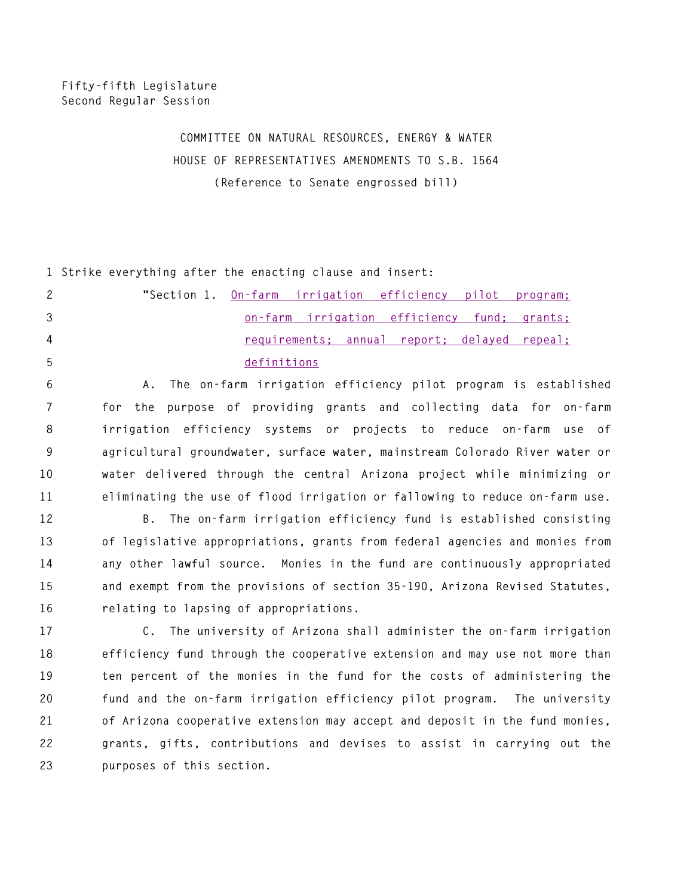## **COMMITTEE ON NATURAL RESOURCES, ENERGY & WATER HOUSE OF REPRESENTATIVES AMENDMENTS TO S.B. 1564 (Reference to Senate engrossed bill)**

**1 Strike everything after the enacting clause and insert:** 

| 2              | "Section 1. On-farm irrigation efficiency pilot program: |
|----------------|----------------------------------------------------------|
| -3             | <u>on-farm irrigation efficiency fund: grants:</u>       |
| $\overline{4}$ | requirements; annual report; delayed repeal;             |
| -5             | definitions                                              |

**6 A. The on-farm irrigation efficiency pilot program is established 7 for the purpose of providing grants and collecting data for on-farm 8 irrigation efficiency systems or projects to reduce on-farm use of 9 agricultural groundwater, surface water, mainstream Colorado River water or 10 water delivered through the central Arizona project while minimizing or 11 eliminating the use of flood irrigation or fallowing to reduce on-farm use.** 

**12 B. The on-farm irrigation efficiency fund is established consisting 13 of legislative appropriations, grants from federal agencies and monies from 14 any other lawful source. Monies in the fund are continuously appropriated 15 and exempt from the provisions of section 35-190, Arizona Revised Statutes, 16 relating to lapsing of appropriations.** 

**17 C. The university of Arizona shall administer the on-farm irrigation 18 efficiency fund through the cooperative extension and may use not more than 19 ten percent of the monies in the fund for the costs of administering the 20 fund and the on-farm irrigation efficiency pilot program. The university 21 of Arizona cooperative extension may accept and deposit in the fund monies, 22 grants, gifts, contributions and devises to assist in carrying out the 23 purposes of this section.**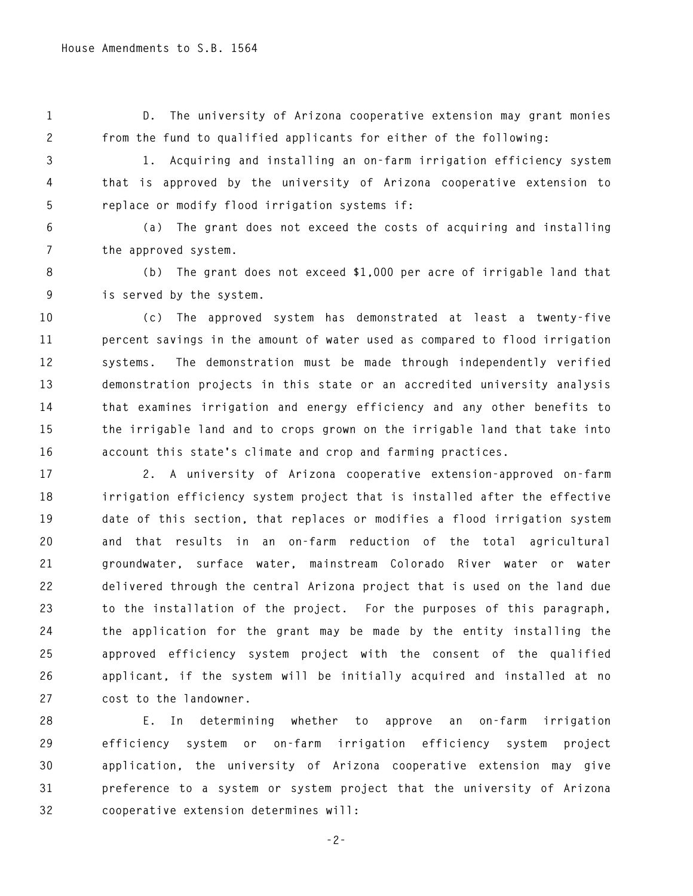**1 D. The university of Arizona cooperative extension may grant monies 2 from the fund to qualified applicants for either of the following:** 

**3 1. Acquiring and installing an on-farm irrigation efficiency system 4 that is approved by the university of Arizona cooperative extension to 5 replace or modify flood irrigation systems if:** 

**6 (a) The grant does not exceed the costs of acquiring and installing 7 the approved system.** 

**8 (b) The grant does not exceed \$1,000 per acre of irrigable land that 9 is served by the system.** 

**10 (c) The approved system has demonstrated at least a twenty-five 11 percent savings in the amount of water used as compared to flood irrigation 12 systems. The demonstration must be made through independently verified 13 demonstration projects in this state or an accredited university analysis 14 that examines irrigation and energy efficiency and any other benefits to 15 the irrigable land and to crops grown on the irrigable land that take into 16 account this state's climate and crop and farming practices.** 

**17 2. A university of Arizona cooperative extension-approved on-farm 18 irrigation efficiency system project that is installed after the effective 19 date of this section, that replaces or modifies a flood irrigation system 20 and that results in an on-farm reduction of the total agricultural 21 groundwater, surface water, mainstream Colorado River water or water 22 delivered through the central Arizona project that is used on the land due 23 to the installation of the project. For the purposes of this paragraph, 24 the application for the grant may be made by the entity installing the 25 approved efficiency system project with the consent of the qualified 26 applicant, if the system will be initially acquired and installed at no 27 cost to the landowner.** 

**28 E. In determining whether to approve an on-farm irrigation 29 efficiency system or on-farm irrigation efficiency system project 30 application, the university of Arizona cooperative extension may give 31 preference to a system or system project that the university of Arizona 32 cooperative extension determines will:** 

**-2-**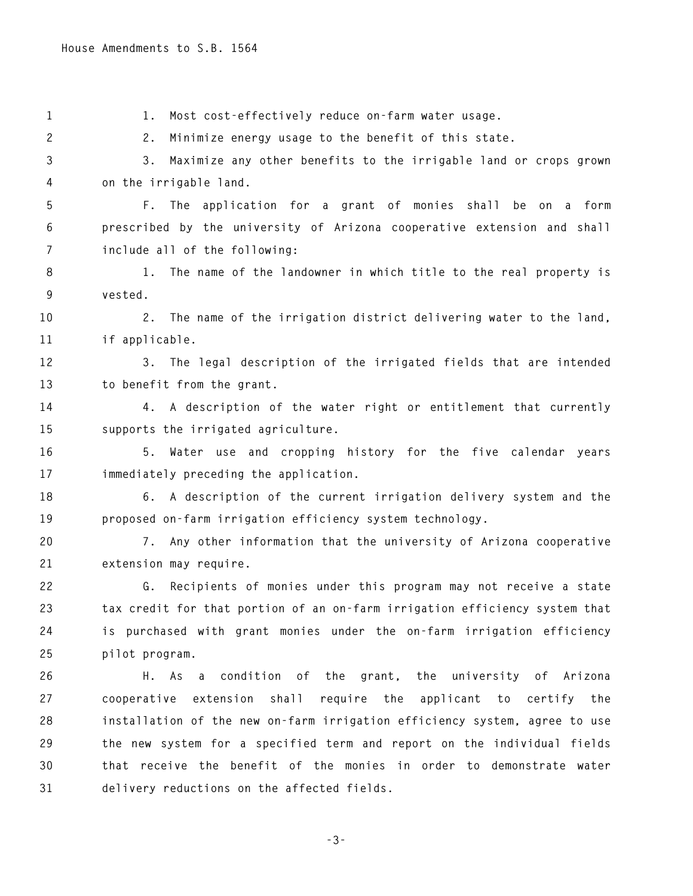**1 1. Most cost-effectively reduce on-farm water usage. 2 2. Minimize energy usage to the benefit of this state. 3 3. Maximize any other benefits to the irrigable land or crops grown 4 on the irrigable land. 5 F. The application for a grant of monies shall be on a form 6 prescribed by the university of Arizona cooperative extension and shall 7 include all of the following: 8 1. The name of the landowner in which title to the real property is 9 vested. 10 2. The name of the irrigation district delivering water to the land, 11 if applicable. 12 3. The legal description of the irrigated fields that are intended 13 to benefit from the grant. 14 4. A description of the water right or entitlement that currently 15 supports the irrigated agriculture. 16 5. Water use and cropping history for the five calendar years 17 immediately preceding the application. 18 6. A description of the current irrigation delivery system and the 19 proposed on-farm irrigation efficiency system technology. 20 7. Any other information that the university of Arizona cooperative 21 extension may require. 22 G. Recipients of monies under this program may not receive a state 23 tax credit for that portion of an on-farm irrigation efficiency system that 24 is purchased with grant monies under the on-farm irrigation efficiency 25 pilot program. 26 H. As a condition of the grant, the university of Arizona 27 cooperative extension shall require the applicant to certify the 28 installation of the new on-farm irrigation efficiency system, agree to use 29 the new system for a specified term and report on the individual fields 30 that receive the benefit of the monies in order to demonstrate water 31 delivery reductions on the affected fields.** 

**-3-**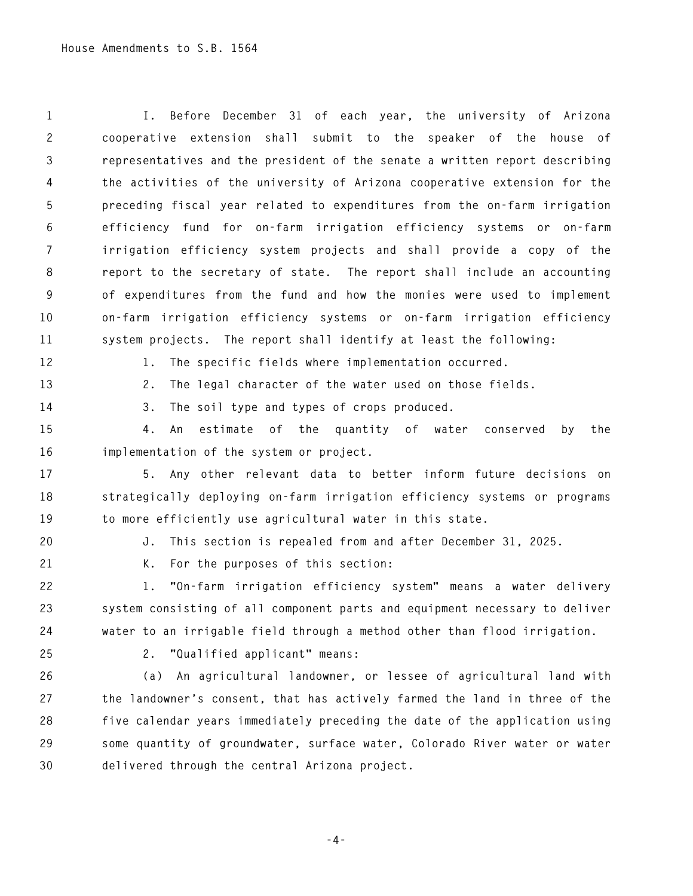**1 I. Before December 31 of each year, the university of Arizona 2 cooperative extension shall submit to the speaker of the house of 3 representatives and the president of the senate a written report describing 4 the activities of the university of Arizona cooperative extension for the 5 preceding fiscal year related to expenditures from the on-farm irrigation 6 efficiency fund for on-farm irrigation efficiency systems or on-farm 7 irrigation efficiency system projects and shall provide a copy of the 8 report to the secretary of state. The report shall include an accounting 9 of expenditures from the fund and how the monies were used to implement 10 on-farm irrigation efficiency systems or on-farm irrigation efficiency 11 system projects. The report shall identify at least the following: 12 1. The specific fields where implementation occurred. 13 2. The legal character of the water used on those fields. 14 3. The soil type and types of crops produced. 15 4. An estimate of the quantity of water conserved by the 16 implementation of the system or project. 17 5. Any other relevant data to better inform future decisions on 18 strategically deploying on-farm irrigation efficiency systems or programs 19 to more efficiently use agricultural water in this state. 20 J. This section is repealed from and after December 31, 2025. 21 K. For the purposes of this section:** 

**22 1. "On-farm irrigation efficiency system" means a water delivery 23 system consisting of all component parts and equipment necessary to deliver 24 water to an irrigable field through a method other than flood irrigation.** 

**25 2. "Qualified applicant" means:** 

**26 (a) An agricultural landowner, or lessee of agricultural land with 27 the landowner's consent, that has actively farmed the land in three of the 28 five calendar years immediately preceding the date of the application using 29 some quantity of groundwater, surface water, Colorado River water or water 30 delivered through the central Arizona project.** 

**-4-**